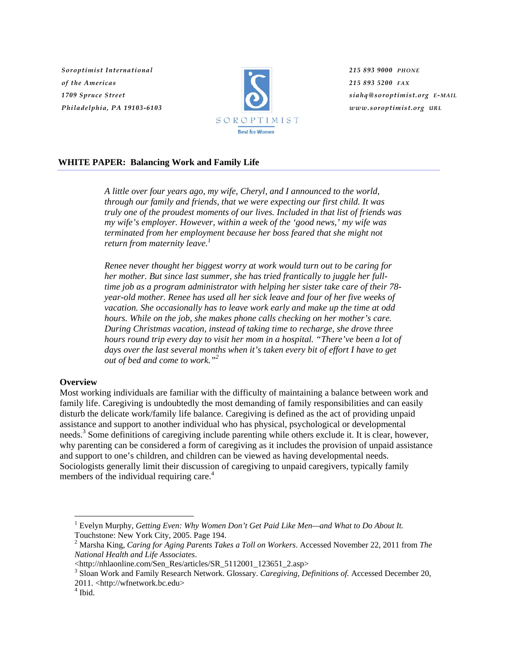*Soroptimist International of the Americas 1709 Spruce Street Philadelphia, PA 19103-6103*



*215 893 9000 PHONE 215 893 5200 FAX siahq@soroptimist.org E-MAIL www.soroptimist.org URL*

## **WHITE PAPER: Balancing Work and Family Life**

*A little over four years ago, my wife, Cheryl, and I announced to the world, through our family and friends, that we were expecting our first child. It was truly one of the proudest moments of our lives. Included in that list of friends was my wife's employer. However, within a week of the 'good news,' my wife was terminated from her employment because her boss feared that she might not return from maternity leave.<sup>1</sup>*

*Renee never thought her biggest worry at work would turn out to be caring for her mother. But since last summer, she has tried frantically to juggle her fulltime job as a program administrator with helping her sister take care of their 78 year-old mother. Renee has used all her sick leave and four of her five weeks of vacation. She occasionally has to leave work early and make up the time at odd hours. While on the job, she makes phone calls checking on her mother's care. During Christmas vacation, instead of taking time to recharge, she drove three hours round trip every day to visit her mom in a hospital. "There've been a lot of days over the last several months when it's taken every bit of effort I have to get out of bed and come to work."<sup>2</sup>* 

#### **Overview**

Most working individuals are familiar with the difficulty of maintaining a balance between work and family life. Caregiving is undoubtedly the most demanding of family responsibilities and can easily disturb the delicate work/family life balance. Caregiving is defined as the act of providing unpaid assistance and support to another individual who has physical, psychological or developmental needs.<sup>3</sup> Some definitions of caregiving include parenting while others exclude it. It is clear, however, why parenting can be considered a form of caregiving as it includes the provision of unpaid assistance and support to one's children, and children can be viewed as having developmental needs. Sociologists generally limit their discussion of caregiving to unpaid caregivers, typically family members of the individual requiring care.<sup>4</sup>

<sup>&</sup>lt;sup>1</sup> Evelyn Murphy, *Getting Even: Why Women Don't Get Paid Like Men—and What to Do About It.* Touchstone: New York City, 2005. Page 194.

<sup>2</sup> Marsha King, *Caring for Aging Parents Takes a Toll on Workers*. Accessed November 22, 2011 from *The National Health and Life Associates*.

<sup>&</sup>lt;http://nhlaonline.com/Sen\_Res/articles/SR\_5112001\_123651\_2.asp>

<sup>3</sup> Sloan Work and Family Research Network. Glossary. *Caregiving, Definitions of.* Accessed December 20, 2011. <http://wfnetwork.bc.edu>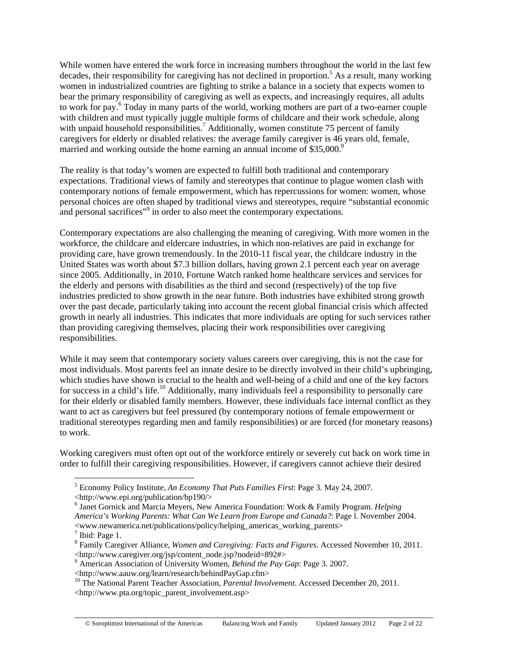While women have entered the work force in increasing numbers throughout the world in the last few decades, their responsibility for caregiving has not declined in proportion.<sup>5</sup> As a result, many working women in industrialized countries are fighting to strike a balance in a society that expects women to bear the primary responsibility of caregiving as well as expects, and increasingly requires, all adults to work for pay.<sup>6</sup> Today in many parts of the world, working mothers are part of a two-earner couple with children and must typically juggle multiple forms of childcare and their work schedule, along with unpaid household responsibilities.<sup>7</sup> Additionally, women constitute 75 percent of family caregivers for elderly or disabled relatives: the average family caregiver is 46 years old, female, married and working outside the home earning an annual income of \$35,000.<sup>8</sup>

The reality is that today's women are expected to fulfill both traditional and contemporary expectations. Traditional views of family and stereotypes that continue to plague women clash with contemporary notions of female empowerment, which has repercussions for women: women, whose personal choices are often shaped by traditional views and stereotypes, require "substantial economic and personal sacrifices"<sup>9</sup> in order to also meet the contemporary expectations.

Contemporary expectations are also challenging the meaning of caregiving. With more women in the workforce, the childcare and eldercare industries, in which non-relatives are paid in exchange for providing care, have grown tremendously. In the 2010-11 fiscal year, the childcare industry in the United States was worth about \$7.3 billion dollars, having grown 2.1 percent each year on average since 2005. Additionally, in 2010, Fortune Watch ranked home healthcare services and services for the elderly and persons with disabilities as the third and second (respectively) of the top five industries predicted to show growth in the near future. Both industries have exhibited strong growth over the past decade, particularly taking into account the recent global financial crisis which affected growth in nearly all industries. This indicates that more individuals are opting for such services rather than providing caregiving themselves, placing their work responsibilities over caregiving responsibilities.

While it may seem that contemporary society values careers over caregiving, this is not the case for most individuals. Most parents feel an innate desire to be directly involved in their child's upbringing, which studies have shown is crucial to the health and well-being of a child and one of the key factors for success in a child's life.<sup>10</sup> Additionally, many individuals feel a responsibility to personally care for their elderly or disabled family members. However, these individuals face internal conflict as they want to act as caregivers but feel pressured (by contemporary notions of female empowerment or traditional stereotypes regarding men and family responsibilities) or are forced (for monetary reasons) to work.

Working caregivers must often opt out of the workforce entirely or severely cut back on work time in order to fulfill their caregiving responsibilities. However, if caregivers cannot achieve their desired

 $\overline{a}$ 

9 American Association of University Women, *Behind the Pay Gap*: Page 3. 2007.

<sup>5</sup> Economy Policy Institute, *An Economy That Puts Families First*: Page 3*.* May 24, 2007.

<sup>&</sup>lt;http://www.epi.org/publication/bp190/>

<sup>6</sup> Janet Gornick and Marcia Meyers, New America Foundation: Work & Family Program. *Helping America's Working Parents: What Can We Learn from Europe and Canada?*: Page l. November 2004. <www.newamerica.net/publications/policy/helping\_americas\_working\_parents>

 $<sup>7</sup>$  Ibid: Page 1.</sup>

<sup>8</sup> Family Caregiver Alliance, *Women and Caregiving: Facts and Figures*. Accessed November 10, 2011. <http://www.caregiver.org/jsp/content\_node.jsp?nodeid=892#>

<sup>&</sup>lt;http://www.aauw.org/learn/research/behindPayGap.cfm> 10 The National Parent Teacher Association, *Parental Involvement*. Accessed December 20, 2011. <http://www.pta.org/topic\_parent\_involvement.asp>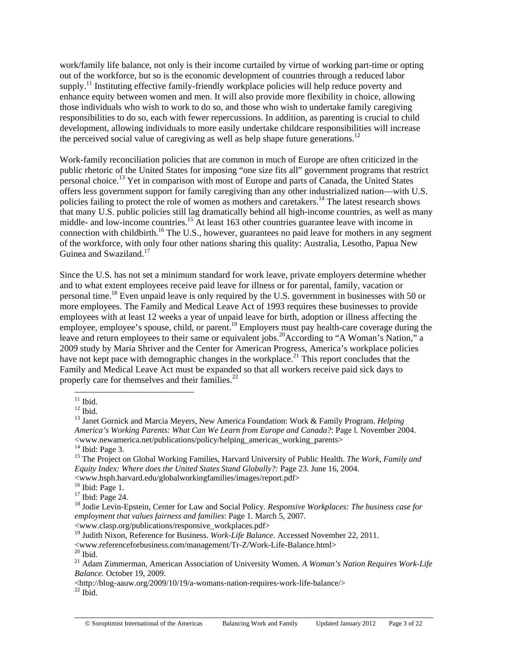work/family life balance, not only is their income curtailed by virtue of working part-time or opting out of the workforce, but so is the economic development of countries through a reduced labor supply.<sup>11</sup> Instituting effective family-friendly workplace policies will help reduce poverty and enhance equity between women and men. It will also provide more flexibility in choice, allowing those individuals who wish to work to do so, and those who wish to undertake family caregiving responsibilities to do so, each with fewer repercussions. In addition, as parenting is crucial to child development, allowing individuals to more easily undertake childcare responsibilities will increase the perceived social value of caregiving as well as help shape future generations.<sup>12</sup>

Work-family reconciliation policies that are common in much of Europe are often criticized in the public rhetoric of the United States for imposing "one size fits all" government programs that restrict personal choice.13 Yet in comparison with most of Europe and parts of Canada, the United States offers less government support for family caregiving than any other industrialized nation—with U.S. policies failing to protect the role of women as mothers and caretakers.14 The latest research shows that many U.S. public policies still lag dramatically behind all high-income countries, as well as many middle- and low-income countries.<sup>15</sup> At least 163 other countries guarantee leave with income in connection with childbirth.<sup>16</sup> The U.S., however, guarantees no paid leave for mothers in any segment of the workforce, with only four other nations sharing this quality: Australia, Lesotho, Papua New Guinea and Swaziland.<sup>17</sup>

Since the U.S. has not set a minimum standard for work leave, private employers determine whether and to what extent employees receive paid leave for illness or for parental, family, vacation or personal time.18 Even unpaid leave is only required by the U.S. government in businesses with 50 or more employees. The Family and Medical Leave Act of 1993 requires these businesses to provide employees with at least 12 weeks a year of unpaid leave for birth, adoption or illness affecting the employee, employee's spouse, child, or parent.<sup>19</sup> Employers must pay health-care coverage during the leave and return employees to their same or equivalent jobs.<sup>20</sup>According to "A Woman's Nation," a 2009 study by Maria Shriver and the Center for American Progress, America's workplace policies have not kept pace with demographic changes in the workplace.<sup>21</sup> This report concludes that the Family and Medical Leave Act must be expanded so that all workers receive paid sick days to properly care for themselves and their families. $^{22}$ 

 $\overline{a}$ 

 $14$  Ibid: Page 3.

 $<$ www.hsph.harvard.edu/globalworkingfamilies/images/report.pdf> $^{16}$ Ibid: Page 1.

<sup>17</sup> Ibid: Page 24.

<www.clasp.org/publications/responsive\_workplaces.pdf>

<sup>19</sup> Judith Nixon, Reference for Business. *Work-Life Balance*. Accessed November 22, 2011.

 $<$ www.referenceforbusiness.com/management/Tr-Z/Work-Life-Balance.html<br> $^{20}$  Ibid.

 $11$  Ibid.

 $12$  Ibid.

<sup>13</sup> Janet Gornick and Marcia Meyers, New America Foundation: Work & Family Program. *Helping America's Working Parents: What Can We Learn from Europe and Canada?*: Page l. November 2004. <www.newamerica.net/publications/policy/helping\_americas\_working\_parents>

<sup>&</sup>lt;sup>15</sup> The Project on Global Working Families, Harvard University of Public Health. *The Work, Family and Equity Index: Where does the United States Stand Globally?:* Page 23. June 16, 2004.

<sup>18</sup> Jodie Levin-Epstein, Center for Law and Social Policy*. Responsive Workplaces: The business case for employment that values fairness and families*: Page 1. March 5, 2007.

<sup>21</sup> Adam Zimmerman, American Association of University Women. *A Woman's Nation Requires Work-Life Balance.* October 19, 2009.

 $<$ http://blog-aauw.org/2009/10/19/a-womans-nation-requires-work-life-balance/ $>$  $^{22}$ Ibid.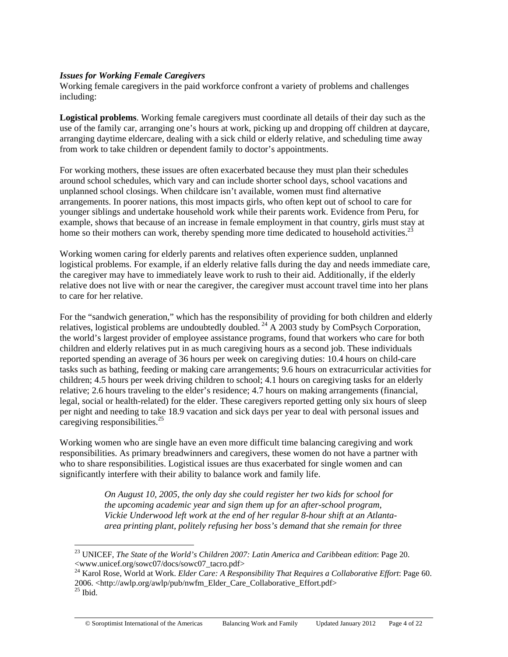## *Issues for Working Female Caregivers*

 $\overline{a}$ 

Working female caregivers in the paid workforce confront a variety of problems and challenges including:

**Logistical problems**. Working female caregivers must coordinate all details of their day such as the use of the family car, arranging one's hours at work, picking up and dropping off children at daycare, arranging daytime eldercare, dealing with a sick child or elderly relative, and scheduling time away from work to take children or dependent family to doctor's appointments.

For working mothers, these issues are often exacerbated because they must plan their schedules around school schedules, which vary and can include shorter school days, school vacations and unplanned school closings. When childcare isn't available, women must find alternative arrangements. In poorer nations, this most impacts girls, who often kept out of school to care for younger siblings and undertake household work while their parents work. Evidence from Peru, for example, shows that because of an increase in female employment in that country, girls must stay at home so their mothers can work, thereby spending more time dedicated to household activities.<sup>23</sup>

Working women caring for elderly parents and relatives often experience sudden, unplanned logistical problems. For example, if an elderly relative falls during the day and needs immediate care, the caregiver may have to immediately leave work to rush to their aid. Additionally, if the elderly relative does not live with or near the caregiver, the caregiver must account travel time into her plans to care for her relative.

For the "sandwich generation," which has the responsibility of providing for both children and elderly relatives, logistical problems are undoubtedly doubled.<sup>24</sup> A 2003 study by ComPsych Corporation, the world's largest provider of employee assistance programs, found that workers who care for both children and elderly relatives put in as much caregiving hours as a second job. These individuals reported spending an average of 36 hours per week on caregiving duties: 10.4 hours on child-care tasks such as bathing, feeding or making care arrangements; 9.6 hours on extracurricular activities for children; 4.5 hours per week driving children to school; 4.1 hours on caregiving tasks for an elderly relative; 2.6 hours traveling to the elder's residence; 4.7 hours on making arrangements (financial, legal, social or health-related) for the elder. These caregivers reported getting only six hours of sleep per night and needing to take 18.9 vacation and sick days per year to deal with personal issues and caregiving responsibilities.<sup>25</sup>

Working women who are single have an even more difficult time balancing caregiving and work responsibilities. As primary breadwinners and caregivers, these women do not have a partner with who to share responsibilities. Logistical issues are thus exacerbated for single women and can significantly interfere with their ability to balance work and family life.

> *On August 10, 2005, the only day she could register her two kids for school for the upcoming academic year and sign them up for an after-school program, Vickie Underwood left work at the end of her regular 8-hour shift at an Atlantaarea printing plant, politely refusing her boss's demand that she remain for three*

<sup>23</sup> UNICEF, *The State of the World's Children 2007: Latin America and Caribbean edition*: Page 20. <www.unicef.org/sowc07/docs/sowc07\_tacro.pdf>

<sup>24</sup> Karol Rose, World at Work. *Elder Care: A Responsibility That Requires a Collaborative Effort*: Page 60. 2006. <http://awlp.org/awlp/pub/nwfm\_Elder\_Care\_Collaborative\_Effort.pdf> 25 Ibid.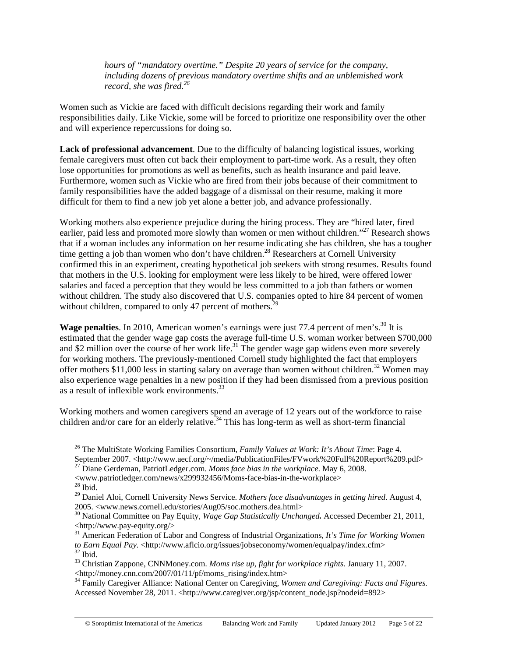*hours of "mandatory overtime." Despite 20 years of service for the company, including dozens of previous mandatory overtime shifts and an unblemished work record, she was fired.<sup>26</sup>*

Women such as Vickie are faced with difficult decisions regarding their work and family responsibilities daily. Like Vickie, some will be forced to prioritize one responsibility over the other and will experience repercussions for doing so.

**Lack of professional advancement**. Due to the difficulty of balancing logistical issues, working female caregivers must often cut back their employment to part-time work. As a result, they often lose opportunities for promotions as well as benefits, such as health insurance and paid leave. Furthermore, women such as Vickie who are fired from their jobs because of their commitment to family responsibilities have the added baggage of a dismissal on their resume, making it more difficult for them to find a new job yet alone a better job, and advance professionally.

Working mothers also experience prejudice during the hiring process. They are "hired later, fired earlier, paid less and promoted more slowly than women or men without children."<sup>27</sup> Research shows that if a woman includes any information on her resume indicating she has children, she has a tougher time getting a job than women who don't have children.<sup>28</sup> Researchers at Cornell University confirmed this in an experiment, creating hypothetical job seekers with strong resumes. Results found that mothers in the U.S. looking for employment were less likely to be hired, were offered lower salaries and faced a perception that they would be less committed to a job than fathers or women without children. The study also discovered that U.S. companies opted to hire 84 percent of women without children, compared to only 47 percent of mothers.<sup>29</sup>

Wage penalties. In 2010, American women's earnings were just 77.4 percent of men's.<sup>30</sup> It is estimated that the gender wage gap costs the average full-time U.S. woman worker between \$700,000 and \$2 million over the course of her work life.<sup>31</sup> The gender wage gap widens even more severely for working mothers. The previously-mentioned Cornell study highlighted the fact that employers offer mothers \$11,000 less in starting salary on average than women without children.<sup>32</sup> Women may also experience wage penalties in a new position if they had been dismissed from a previous position as a result of inflexible work environments.<sup>33</sup>

Working mothers and women caregivers spend an average of 12 years out of the workforce to raise children and/or care for an elderly relative.<sup>34</sup> This has long-term as well as short-term financial

<sup>26</sup> The MultiState Working Families Consortium, *Family Values at Work: It's About Time*: Page 4. September 2007. <http://www.aecf.org/~/media/PublicationFiles/FVwork%20Full%20Report%209.pdf> 27 Diane Gerdeman, PatriotLedger.com. *Moms face bias in the workplace*. May 6, 2008.

<sup>&</sup>lt;www.patriotledger.com/news/x299932456/Moms-face-bias-in-the-workplace> 28 Ibid.

<sup>29</sup> Daniel Aloi, Cornell University News Service. *Mothers face disadvantages in getting hired*. August 4, 2005. <www.news.cornell.edu/stories/Aug05/soc.mothers.dea.html>

<sup>30</sup> National Committee on Pay Equity, *Wage Gap Statistically Unchanged.* Accessed December 21, 2011, <http://www.pay-equity.org/>

<sup>31</sup> American Federation of Labor and Congress of Industrial Organizations, *It's Time for Working Women to Earn Equal Pay.* <http://www.aflcio.org/issues/jobseconomy/women/equalpay/index.cfm><sup>32</sup> Ibid.

<sup>33</sup> Christian Zappone, CNNMoney.com. *Moms rise up, fight for workplace rights*. January 11, 2007.  $\lt$ http://money.cnn.com/2007/01/11/pf/moms\_rising/index.htm>

<sup>&</sup>lt;sup>34</sup> Family Caregiver Alliance: National Center on Caregiving, *Women and Caregiving: Facts and Figures.* Accessed November 28, 2011. <http://www.caregiver.org/jsp/content\_node.jsp?nodeid=892>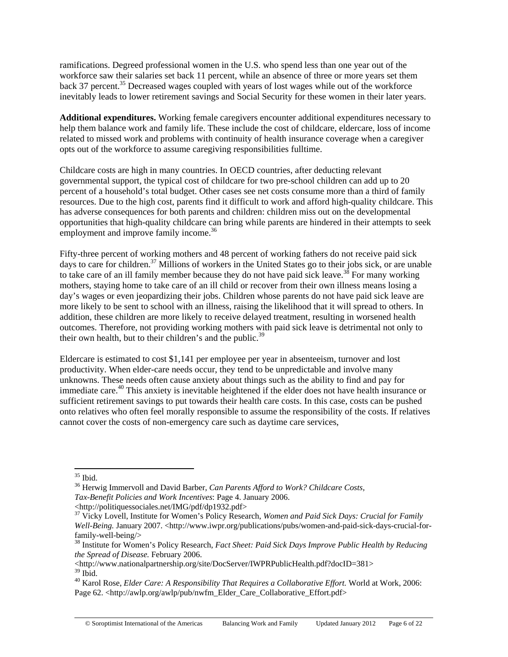ramifications. Degreed professional women in the U.S. who spend less than one year out of the workforce saw their salaries set back 11 percent, while an absence of three or more years set them back 37 percent.<sup>35</sup> Decreased wages coupled with years of lost wages while out of the workforce inevitably leads to lower retirement savings and Social Security for these women in their later years.

**Additional expenditures.** Working female caregivers encounter additional expenditures necessary to help them balance work and family life. These include the cost of childcare, eldercare, loss of income related to missed work and problems with continuity of health insurance coverage when a caregiver opts out of the workforce to assume caregiving responsibilities fulltime.

Childcare costs are high in many countries. In OECD countries, after deducting relevant governmental support, the typical cost of childcare for two pre-school children can add up to 20 percent of a household's total budget. Other cases see net costs consume more than a third of family resources. Due to the high cost, parents find it difficult to work and afford high-quality childcare. This has adverse consequences for both parents and children: children miss out on the developmental opportunities that high-quality childcare can bring while parents are hindered in their attempts to seek employment and improve family income.<sup>36</sup>

Fifty-three percent of working mothers and 48 percent of working fathers do not receive paid sick days to care for children.<sup>37</sup> Millions of workers in the United States go to their jobs sick, or are unable to take care of an ill family member because they do not have paid sick leave.<sup>38</sup> For many working mothers, staying home to take care of an ill child or recover from their own illness means losing a day's wages or even jeopardizing their jobs. Children whose parents do not have paid sick leave are more likely to be sent to school with an illness, raising the likelihood that it will spread to others. In addition, these children are more likely to receive delayed treatment, resulting in worsened health outcomes. Therefore, not providing working mothers with paid sick leave is detrimental not only to their own health, but to their children's and the public.<sup>39</sup>

Eldercare is estimated to cost \$1,141 per employee per year in absenteeism, turnover and lost productivity. When elder-care needs occur, they tend to be unpredictable and involve many unknowns. These needs often cause anxiety about things such as the ability to find and pay for immediate care.<sup>40</sup> This anxiety is inevitable heightened if the elder does not have health insurance or sufficient retirement savings to put towards their health care costs. In this case, costs can be pushed onto relatives who often feel morally responsible to assume the responsibility of the costs. If relatives cannot cover the costs of non-emergency care such as daytime care services,

36 Herwig Immervoll and David Barber, *Can Parents Afford to Work? Childcare Costs, Tax-Benefit Policies and Work Incentives*: Page 4. January 2006.

<http://politiquessociales.net/IMG/pdf/dp1932.pdf>

 $\overline{a}$ 35 Ibid.

<sup>37</sup> Vicky Lovell, Institute for Women's Policy Research, *Women and Paid Sick Days: Crucial for Family Well-Being. January 2007.* <http://www.iwpr.org/publications/pubs/women-and-paid-sick-days-crucial-forfamily-well-being/>

<sup>38</sup> Institute for Women's Policy Research, *Fact Sheet: Paid Sick Days Improve Public Health by Reducing the Spread of Disease.* February 2006.

<sup>&</sup>lt;http://www.nationalpartnership.org/site/DocServer/IWPRPublicHealth.pdf?docID=381>  $39$  Ibid.

<sup>40</sup> Karol Rose, *Elder Care: A Responsibility That Requires a Collaborative Effort.* World at Work, 2006: Page 62. <http://awlp.org/awlp/pub/nwfm\_Elder\_Care\_Collaborative\_Effort.pdf>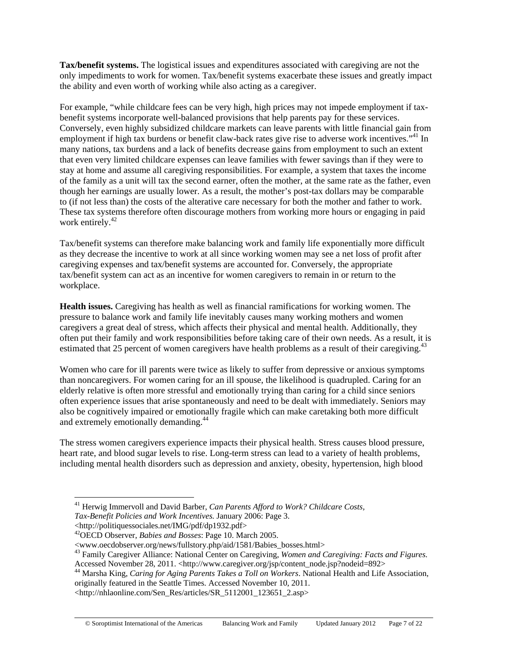**Tax/benefit systems.** The logistical issues and expenditures associated with caregiving are not the only impediments to work for women. Tax/benefit systems exacerbate these issues and greatly impact the ability and even worth of working while also acting as a caregiver.

For example, "while childcare fees can be very high, high prices may not impede employment if taxbenefit systems incorporate well-balanced provisions that help parents pay for these services. Conversely, even highly subsidized childcare markets can leave parents with little financial gain from employment if high tax burdens or benefit claw-back rates give rise to adverse work incentives.<sup>"41</sup> In many nations, tax burdens and a lack of benefits decrease gains from employment to such an extent that even very limited childcare expenses can leave families with fewer savings than if they were to stay at home and assume all caregiving responsibilities. For example, a system that taxes the income of the family as a unit will tax the second earner, often the mother, at the same rate as the father, even though her earnings are usually lower. As a result, the mother's post-tax dollars may be comparable to (if not less than) the costs of the alterative care necessary for both the mother and father to work. These tax systems therefore often discourage mothers from working more hours or engaging in paid work entirely.<sup>42</sup>

Tax/benefit systems can therefore make balancing work and family life exponentially more difficult as they decrease the incentive to work at all since working women may see a net loss of profit after caregiving expenses and tax/benefit systems are accounted for. Conversely, the appropriate tax/benefit system can act as an incentive for women caregivers to remain in or return to the workplace.

**Health issues.** Caregiving has health as well as financial ramifications for working women. The pressure to balance work and family life inevitably causes many working mothers and women caregivers a great deal of stress, which affects their physical and mental health. Additionally, they often put their family and work responsibilities before taking care of their own needs. As a result, it is estimated that 25 percent of women caregivers have health problems as a result of their caregiving.<sup>43</sup>

Women who care for ill parents were twice as likely to suffer from depressive or anxious symptoms than noncaregivers. For women caring for an ill spouse, the likelihood is quadrupled. Caring for an elderly relative is often more stressful and emotionally trying than caring for a child since seniors often experience issues that arise spontaneously and need to be dealt with immediately. Seniors may also be cognitively impaired or emotionally fragile which can make caretaking both more difficult and extremely emotionally demanding.44

The stress women caregivers experience impacts their physical health. Stress causes blood pressure, heart rate, and blood sugar levels to rise. Long-term stress can lead to a variety of health problems, including mental health disorders such as depression and anxiety, obesity, hypertension, high blood

41 Herwig Immervoll and David Barber, *Can Parents Afford to Work? Childcare Costs,* 

<http://politiquessociales.net/IMG/pdf/dp1932.pdf>

*Tax-Benefit Policies and Work Incentives.* January 2006: Page 3.

<sup>42</sup>OECD Observer, *Babies and Bosses*: Page 10. March 2005.

<sup>&</sup>lt;www.oecdobserver.org/news/fullstory.php/aid/1581/Babies\_bosses.html>

<sup>43</sup> Family Caregiver Alliance: National Center on Caregiving, *Women and Caregiving: Facts and Figures.*  Accessed November 28, 2011. <http://www.caregiver.org/jsp/content\_node.jsp?nodeid=892>

<sup>44</sup> Marsha King, *Caring for Aging Parents Takes a Toll on Workers*. National Health and Life Association, originally featured in the Seattle Times. Accessed November 10, 2011.

<sup>&</sup>lt;http://nhlaonline.com/Sen\_Res/articles/SR\_5112001\_123651\_2.asp>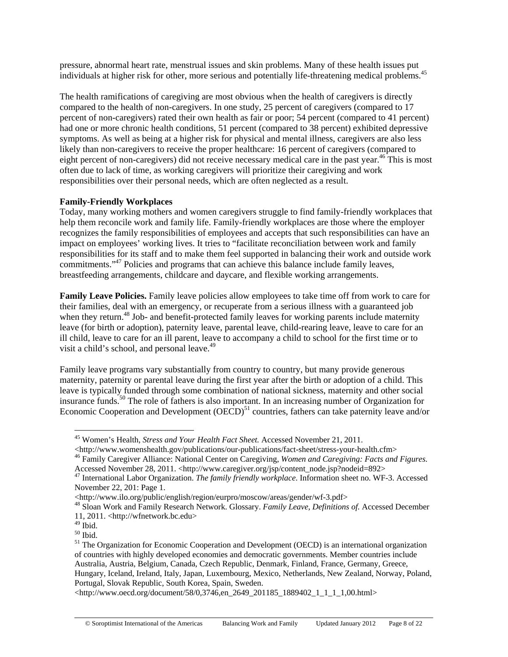pressure, abnormal heart rate, menstrual issues and skin problems. Many of these health issues put individuals at higher risk for other, more serious and potentially life-threatening medical problems.<sup>45</sup>

The health ramifications of caregiving are most obvious when the health of caregivers is directly compared to the health of non-caregivers. In one study, 25 percent of caregivers (compared to 17 percent of non-caregivers) rated their own health as fair or poor; 54 percent (compared to 41 percent) had one or more chronic health conditions, 51 percent (compared to 38 percent) exhibited depressive symptoms. As well as being at a higher risk for physical and mental illness, caregivers are also less likely than non-caregivers to receive the proper healthcare: 16 percent of caregivers (compared to eight percent of non-caregivers) did not receive necessary medical care in the past year.<sup>46</sup> This is most often due to lack of time, as working caregivers will prioritize their caregiving and work responsibilities over their personal needs, which are often neglected as a result.

## **Family-Friendly Workplaces**

Today, many working mothers and women caregivers struggle to find family-friendly workplaces that help them reconcile work and family life. Family-friendly workplaces are those where the employer recognizes the family responsibilities of employees and accepts that such responsibilities can have an impact on employees' working lives. It tries to "facilitate reconciliation between work and family responsibilities for its staff and to make them feel supported in balancing their work and outside work commitments."47 Policies and programs that can achieve this balance include family leaves, breastfeeding arrangements, childcare and daycare, and flexible working arrangements.

**Family Leave Policies.** Family leave policies allow employees to take time off from work to care for their families, deal with an emergency, or recuperate from a serious illness with a guaranteed job when they return.<sup>48</sup> Job- and benefit-protected family leaves for working parents include maternity leave (for birth or adoption), paternity leave, parental leave, child-rearing leave, leave to care for an ill child, leave to care for an ill parent, leave to accompany a child to school for the first time or to visit a child's school, and personal leave. $49$ 

Family leave programs vary substantially from country to country, but many provide generous maternity, paternity or parental leave during the first year after the birth or adoption of a child. This leave is typically funded through some combination of national sickness, maternity and other social insurance funds.50 The role of fathers is also important. In an increasing number of Organization for Economic Cooperation and Development  $(DECD)^{51}$  countries, fathers can take paternity leave and/or

<sup>45</sup> Women's Health, *Stress and Your Health Fact Sheet.* Accessed November 21, 2011.

<sup>&</sup>lt;http://www.womenshealth.gov/publications/our-publications/fact-sheet/stress-your-health.cfm> 46 Family Caregiver Alliance: National Center on Caregiving, *Women and Caregiving: Facts and Figures.* 

Accessed November 28, 2011. <http://www.caregiver.org/jsp/content\_node.jsp?nodeid=892>

<sup>47</sup> International Labor Organization. *The family friendly workplace*. Information sheet no. WF-3. Accessed November 22, 201: Page 1.

<sup>&</sup>lt;http://www.ilo.org/public/english/region/eurpro/moscow/areas/gender/wf-3.pdf> 48 Sloan Work and Family Research Network. Glossary. *Family Leave, Definitions of.* Accessed December 11, 2011. <http://wfnetwork.bc.edu>

 $49$  Ibid.

<sup>50</sup> Ibid.

<sup>&</sup>lt;sup>51</sup> The Organization for Economic Cooperation and Development (OECD) is an international organization of countries with highly developed economies and democratic governments. Member countries include Australia, Austria, Belgium, Canada, Czech Republic, Denmark, Finland, France, Germany, Greece, Hungary, Iceland, Ireland, Italy, Japan, Luxembourg, Mexico, Netherlands, New Zealand, Norway, Poland, Portugal, Slovak Republic, South Korea, Spain, Sweden.

<sup>&</sup>lt;http://www.oecd.org/document/58/0,3746,en\_2649\_201185\_1889402\_1\_1\_1\_1,00.html>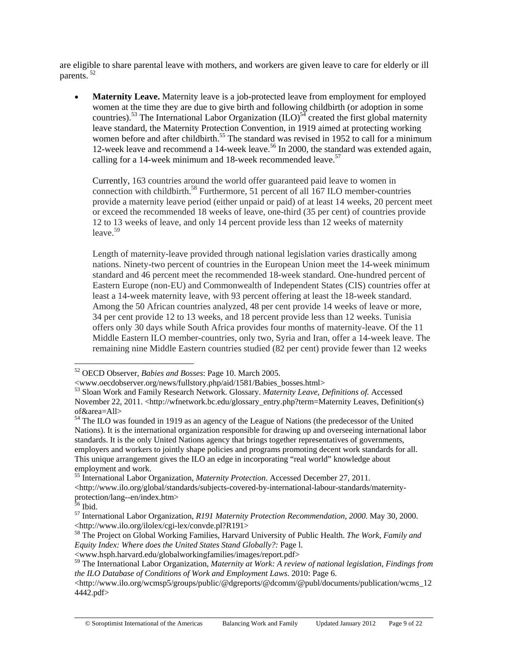are eligible to share parental leave with mothers, and workers are given leave to care for elderly or ill parents. 52

• **Maternity Leave.** Maternity leave is a job-protected leave from employment for employed women at the time they are due to give birth and following childbirth (or adoption in some countries).<sup>53</sup> The International Labor Organization  $(ILO)^{54}$  created the first global maternity leave standard, the Maternity Protection Convention, in 1919 aimed at protecting working women before and after childbirth.<sup>55</sup> The standard was revised in 1952 to call for a minimum 12-week leave and recommend a 14-week leave.<sup>56</sup> In 2000, the standard was extended again, calling for a 14-week minimum and 18-week recommended leave.<sup>57</sup>

Currently, 163 countries around the world offer guaranteed paid leave to women in connection with childbirth.<sup>58</sup> Furthermore, 51 percent of all  $167$  ILO member-countries provide a maternity leave period (either unpaid or paid) of at least 14 weeks, 20 percent meet or exceed the recommended 18 weeks of leave, one-third (35 per cent) of countries provide 12 to 13 weeks of leave, and only 14 percent provide less than 12 weeks of maternity  $leave<sup>59</sup>$ 

Length of maternity-leave provided through national legislation varies drastically among nations. Ninety-two percent of countries in the European Union meet the 14-week minimum standard and 46 percent meet the recommended 18-week standard. One-hundred percent of Eastern Europe (non-EU) and Commonwealth of Independent States (CIS) countries offer at least a 14-week maternity leave, with 93 percent offering at least the 18-week standard. Among the 50 African countries analyzed, 48 per cent provide 14 weeks of leave or more, 34 per cent provide 12 to 13 weeks, and 18 percent provide less than 12 weeks. Tunisia offers only 30 days while South Africa provides four months of maternity-leave. Of the 11 Middle Eastern ILO member-countries, only two, Syria and Iran, offer a 14-week leave. The remaining nine Middle Eastern countries studied (82 per cent) provide fewer than 12 weeks

<sup>52</sup> OECD Observer, *Babies and Bosses*: Page 10. March 2005.

<sup>&</sup>lt;www.oecdobserver.org/news/fullstory.php/aid/1581/Babies\_bosses.html>

<sup>53</sup> Sloan Work and Family Research Network. Glossary. *Maternity Leave, Definitions of.* Accessed November 22, 2011. <http://wfnetwork.bc.edu/glossary\_entry.php?term=Maternity Leaves, Definition(s) of&area=All>

<sup>&</sup>lt;sup>54</sup> The ILO was founded in 1919 as an agency of the League of Nations (the predecessor of the United Nations). It is the international organization responsible for drawing up and overseeing international labor standards. It is the only United Nations agency that brings together representatives of governments, employers and workers to jointly shape policies and programs promoting decent work standards for all. This unique arrangement gives the ILO an edge in incorporating "real world" knowledge about employment and work.

<sup>55</sup> International Labor Organization, *Maternity Protection*. Accessed December 27, 2011.

<sup>&</sup>lt;http://www.ilo.org/global/standards/subjects-covered-by-international-labour-standards/maternityprotection/lang--en/index.htm>

 $56$  Ibid.

<sup>57</sup> International Labor Organization, *R191 Maternity Protection Recommendation, 2000*. May 30, 2000. <http://www.ilo.org/ilolex/cgi-lex/convde.pl?R191>

<sup>58</sup> The Project on Global Working Families, Harvard University of Public Health. *The Work, Family and Equity Index: Where does the United States Stand Globally?:* Page l.

<sup>&</sup>lt;www.hsph.harvard.edu/globalworkingfamilies/images/report.pdf>

<sup>59</sup> The International Labor Organization, *Maternity at Work: A review of national legislation, Findings from the ILO Database of Conditions of Work and Employment Laws*. 2010: Page 6.

<sup>&</sup>lt;http://www.ilo.org/wcmsp5/groups/public/@dgreports/@dcomm/@publ/documents/publication/wcms\_12 4442.pdf>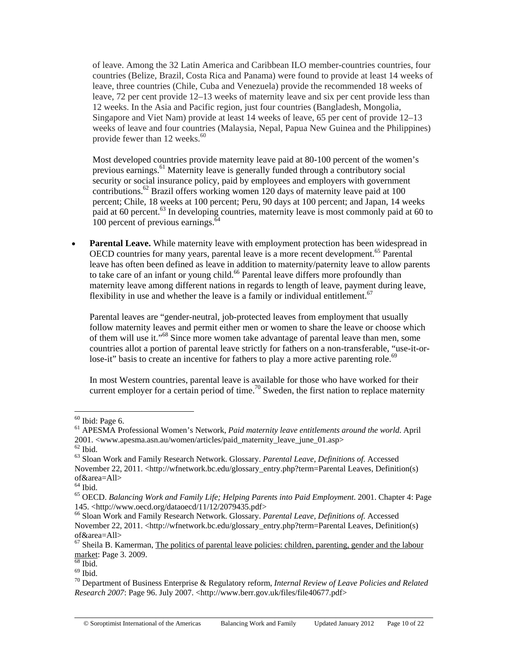of leave. Among the 32 Latin America and Caribbean ILO member-countries countries, four countries (Belize, Brazil, Costa Rica and Panama) were found to provide at least 14 weeks of leave, three countries (Chile, Cuba and Venezuela) provide the recommended 18 weeks of leave, 72 per cent provide 12–13 weeks of maternity leave and six per cent provide less than 12 weeks. In the Asia and Pacific region, just four countries (Bangladesh, Mongolia, Singapore and Viet Nam) provide at least 14 weeks of leave, 65 per cent of provide 12–13 weeks of leave and four countries (Malaysia, Nepal, Papua New Guinea and the Philippines) provide fewer than  $12$  weeks.<sup>60</sup>

Most developed countries provide maternity leave paid at 80-100 percent of the women's previous earnings.<sup>61</sup> Maternity leave is generally funded through a contributory social security or social insurance policy, paid by employees and employers with government contributions.62 Brazil offers working women 120 days of maternity leave paid at 100 percent; Chile, 18 weeks at 100 percent; Peru, 90 days at 100 percent; and Japan, 14 weeks paid at 60 percent.<sup>63</sup> In developing countries, maternity leave is most commonly paid at 60 to 100 percent of previous earnings.<sup>64</sup>

• **Parental Leave.** While maternity leave with employment protection has been widespread in OECD countries for many years, parental leave is a more recent development.<sup>65</sup> Parental leave has often been defined as leave in addition to maternity/paternity leave to allow parents to take care of an infant or young child.<sup>66</sup> Parental leave differs more profoundly than maternity leave among different nations in regards to length of leave, payment during leave, flexibility in use and whether the leave is a family or individual entitlement.<sup>67</sup>

Parental leaves are "gender-neutral, job-protected leaves from employment that usually follow maternity leaves and permit either men or women to share the leave or choose which of them will use it."68 Since more women take advantage of parental leave than men, some countries allot a portion of parental leave strictly for fathers on a non-transferable, "use-it-orlose-it" basis to create an incentive for fathers to play a more active parenting role.<sup>69</sup>

In most Western countries, parental leave is available for those who have worked for their current employer for a certain period of time.<sup>70</sup> Sweden, the first nation to replace maternity

 $60$  Ibid: Page 6.

<sup>61</sup> APESMA Professional Women's Network, *Paid maternity leave entitlements around the world*. April 2001. <www.apesma.asn.au/women/articles/paid\_maternity\_leave\_june\_01.asp> $^{62}$  Ibid.

<sup>63</sup> Sloan Work and Family Research Network. Glossary. *Parental Leave, Definitions of.* Accessed November 22, 2011. <http://wfnetwork.bc.edu/glossary\_entry.php?term=Parental Leaves, Definition(s) of&area=All>

 $<sup>64</sup>$  Ibid.</sup>

<sup>65</sup> OECD. *Balancing Work and Family Life; Helping Parents into Paid Employment*. 2001. Chapter 4: Page 145. <http://www.oecd.org/dataoecd/11/12/2079435.pdf>

<sup>66</sup> Sloan Work and Family Research Network. Glossary. *Parental Leave, Definitions of.* Accessed November 22, 2011. <http://wfnetwork.bc.edu/glossary\_entry.php?term=Parental Leaves, Definition(s) of&area=All>

 $67$  Sheila B. Kamerman, The politics of parental leave policies: children, parenting, gender and the labour market: Page 3. 2009.<br><sup>68</sup> Ibid.

 $69$  Ibid.

<sup>70</sup> Department of Business Enterprise & Regulatory reform, *Internal Review of Leave Policies and Related Research 2007*: Page 96. July 2007. <http://www.berr.gov.uk/files/file40677.pdf>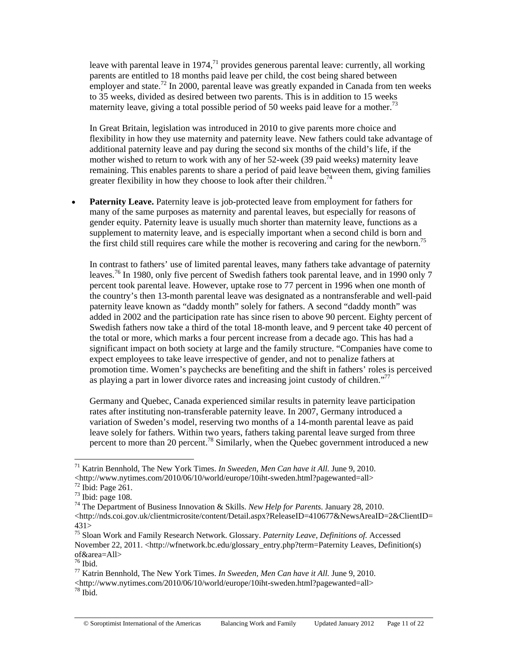leave with parental leave in 1974, $71$  provides generous parental leave: currently, all working parents are entitled to 18 months paid leave per child, the cost being shared between employer and state.<sup>72</sup> In 2000, parental leave was greatly expanded in Canada from ten weeks to 35 weeks, divided as desired between two parents. This is in addition to 15 weeks maternity leave, giving a total possible period of 50 weeks paid leave for a mother.<sup>73</sup>

In Great Britain, legislation was introduced in 2010 to give parents more choice and flexibility in how they use maternity and paternity leave. New fathers could take advantage of additional paternity leave and pay during the second six months of the child's life, if the mother wished to return to work with any of her 52-week (39 paid weeks) maternity leave remaining. This enables parents to share a period of paid leave between them, giving families greater flexibility in how they choose to look after their children.<sup>74</sup>

**Paternity Leave.** Paternity leave is job-protected leave from employment for fathers for many of the same purposes as maternity and parental leaves, but especially for reasons of gender equity. Paternity leave is usually much shorter than maternity leave, functions as a supplement to maternity leave, and is especially important when a second child is born and the first child still requires care while the mother is recovering and caring for the newborn.<sup>75</sup>

In contrast to fathers' use of limited parental leaves, many fathers take advantage of paternity leaves.<sup>76</sup> In 1980, only five percent of Swedish fathers took parental leave, and in 1990 only 7 percent took parental leave. However, uptake rose to 77 percent in 1996 when one month of the country's then 13-month parental leave was designated as a nontransferable and well-paid paternity leave known as "daddy month" solely for fathers. A second "daddy month" was added in 2002 and the participation rate has since risen to above 90 percent. Eighty percent of Swedish fathers now take a third of the total 18-month leave, and 9 percent take 40 percent of the total or more, which marks a four percent increase from a decade ago. This has had a significant impact on both society at large and the family structure. "Companies have come to expect employees to take leave irrespective of gender, and not to penalize fathers at promotion time. Women's paychecks are benefiting and the shift in fathers' roles is perceived as playing a part in lower divorce rates and increasing joint custody of children."<sup>77</sup>

Germany and Quebec, Canada experienced similar results in paternity leave participation rates after instituting non-transferable paternity leave. In 2007, Germany introduced a variation of Sweden's model, reserving two months of a 14-month parental leave as paid leave solely for fathers. Within two years, fathers taking parental leave surged from three percent to more than 20 percent.<sup>78</sup> Similarly, when the Quebec government introduced a new

<sup>71</sup> Katrin Bennhold, The New York Times. *In Sweeden, Men Can have it All.* June 9, 2010. <http://www.nytimes.com/2010/06/10/world/europe/10iht-sweden.html?pagewanted=all> 72 Ibid: Page 261.

 $73$  Ibid: page 108.

<sup>74</sup> The Department of Business Innovation & Skills. *New Help for Parents*. January 28, 2010.

<sup>&</sup>lt;http://nds.coi.gov.uk/clientmicrosite/content/Detail.aspx?ReleaseID=410677&NewsAreaID=2&ClientID= 431>

<sup>75</sup> Sloan Work and Family Research Network. Glossary. *Paternity Leave, Definitions of.* Accessed November 22, 2011. <http://wfnetwork.bc.edu/glossary\_entry.php?term=Paternity Leaves, Definition(s) of&area=All>

 $76$  Ibid.

<sup>77</sup> Katrin Bennhold, The New York Times. *In Sweeden, Men Can have it All.* June 9, 2010.

<sup>&</sup>lt;http://www.nytimes.com/2010/06/10/world/europe/10iht-sweden.html?pagewanted=all> 78 Ibid.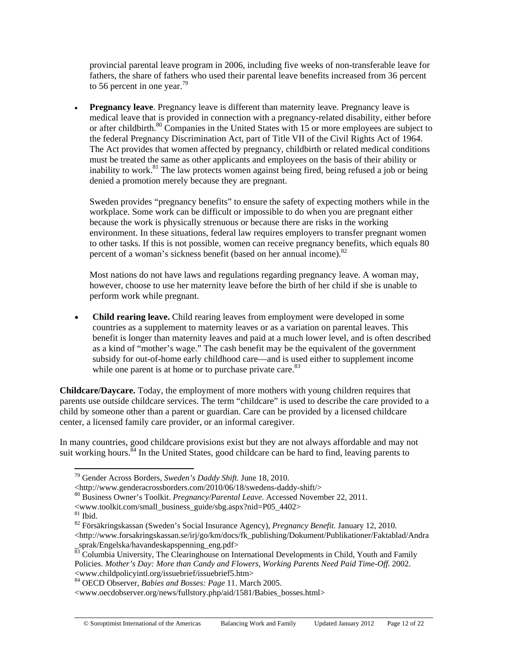provincial parental leave program in 2006, including five weeks of non-transferable leave for fathers, the share of fathers who used their parental leave benefits increased from 36 percent to 56 percent in one year.<sup>79</sup>

**Pregnancy leave**. Pregnancy leave is different than maternity leave. Pregnancy leave is medical leave that is provided in connection with a pregnancy-related disability, either before or after childbirth.<sup>80</sup> Companies in the United States with 15 or more employees are subject to the federal Pregnancy Discrimination Act, part of Title VII of the Civil Rights Act of 1964. The Act provides that women affected by pregnancy, childbirth or related medical conditions must be treated the same as other applicants and employees on the basis of their ability or inability to work.<sup>81</sup> The law protects women against being fired, being refused a job or being denied a promotion merely because they are pregnant.

Sweden provides "pregnancy benefits" to ensure the safety of expecting mothers while in the workplace. Some work can be difficult or impossible to do when you are pregnant either because the work is physically strenuous or because there are risks in the working environment. In these situations, federal law requires employers to transfer pregnant women to other tasks. If this is not possible, women can receive pregnancy benefits, which equals 80 percent of a woman's sickness benefit (based on her annual income).<sup>82</sup>

Most nations do not have laws and regulations regarding pregnancy leave. A woman may, however, choose to use her maternity leave before the birth of her child if she is unable to perform work while pregnant.

• **Child rearing leave.** Child rearing leaves from employment were developed in some countries as a supplement to maternity leaves or as a variation on parental leaves. This benefit is longer than maternity leaves and paid at a much lower level, and is often described as a kind of "mother's wage." The cash benefit may be the equivalent of the government subsidy for out-of-home early childhood care—and is used either to supplement income while one parent is at home or to purchase private care.<sup>83</sup>

**Childcare/Daycare.** Today, the employment of more mothers with young children requires that parents use outside childcare services. The term "childcare" is used to describe the care provided to a child by someone other than a parent or guardian. Care can be provided by a licensed childcare center, a licensed family care provider, or an informal caregiver.

In many countries, good childcare provisions exist but they are not always affordable and may not suit working hours.<sup>84</sup> In the United States, good childcare can be hard to find, leaving parents to

<www.toolkit.com/small\_business\_guide/sbg.aspx?nid=P05\_4402>

<sup>79</sup> Gender Across Borders, *Sweden's Daddy Shift.* June 18, 2010.

<sup>&</sup>lt;http://www.genderacrossborders.com/2010/06/18/swedens-daddy-shift/> 80 Business Owner's Toolkit. *Pregnancy/Parental Leave.* Accessed November 22, 2011.

 $81$  Ibid.

<sup>82</sup> Försäkringskassan (Sweden's Social Insurance Agency), *Pregnancy Benefit.* January 12, 2010.

<sup>&</sup>lt;http://www.forsakringskassan.se/irj/go/km/docs/fk\_publishing/Dokument/Publikationer/Faktablad/Andra \_sprak/Engelska/havandeskapspenning\_eng.pdf>

<sup>&</sup>lt;sup>83</sup> Columbia University, The Clearinghouse on International Developments in Child, Youth and Family Policies. *Mother's Day: More than Candy and Flowers, Working Parents Need Paid Time-Off*. 2002. <www.childpolicyintl.org/issuebrief/issuebrief5.htm> 84 OECD Observer, *Babies and Bosses: Page* 11. March 2005.

<sup>&</sup>lt;www.oecdobserver.org/news/fullstory.php/aid/1581/Babies\_bosses.html>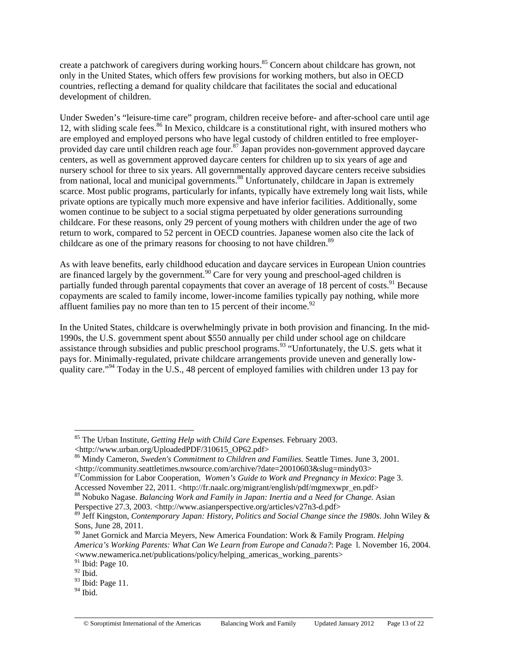create a patchwork of caregivers during working hours.<sup>85</sup> Concern about childcare has grown, not only in the United States, which offers few provisions for working mothers, but also in OECD countries, reflecting a demand for quality childcare that facilitates the social and educational development of children.

Under Sweden's "leisure-time care" program, children receive before- and after-school care until age 12, with sliding scale fees.<sup>86</sup> In Mexico, childcare is a constitutional right, with insured mothers who are employed and employed persons who have legal custody of children entitled to free employerprovided day care until children reach age four.87 Japan provides non-government approved daycare centers, as well as government approved daycare centers for children up to six years of age and nursery school for three to six years. All governmentally approved daycare centers receive subsidies from national, local and municipal governments.<sup>88</sup> Unfortunately, childcare in Japan is extremely scarce. Most public programs, particularly for infants, typically have extremely long wait lists, while private options are typically much more expensive and have inferior facilities. Additionally, some women continue to be subject to a social stigma perpetuated by older generations surrounding childcare. For these reasons, only 29 percent of young mothers with children under the age of two return to work, compared to 52 percent in OECD countries. Japanese women also cite the lack of childcare as one of the primary reasons for choosing to not have children.<sup>89</sup>

As with leave benefits, early childhood education and daycare services in European Union countries are financed largely by the government.<sup>90</sup> Care for very young and preschool-aged children is partially funded through parental copayments that cover an average of 18 percent of costs.<sup>91</sup> Because copayments are scaled to family income, lower-income families typically pay nothing, while more affluent families pay no more than ten to 15 percent of their income.<sup>92</sup>

In the United States, childcare is overwhelmingly private in both provision and financing. In the mid-1990s, the U.S. government spent about \$550 annually per child under school age on childcare assistance through subsidies and public preschool programs.<sup>93</sup> "Unfortunately, the U.S. gets what it pays for. Minimally-regulated, private childcare arrangements provide uneven and generally lowquality care."<sup>94</sup> Today in the U.S., 48 percent of employed families with children under 13 pay for

<sup>85</sup> The Urban Institute, *Getting Help with Child Care Expenses.* February 2003. <http://www.urban.org/UploadedPDF/310615\_OP62.pdf>

<sup>86</sup> Mindy Cameron, *Sweden's Commitment to Children and Families.* Seattle Times. June 3, 2001.

<sup>&</sup>lt;http://community.seattletimes.nwsource.com/archive/?date=20010603&slug=mindy03><sup>87</sup>Commission for Labor Cooperation, *Women's Guide to Work and Pregnancy in Mexico*: Page 3.<br>Accessed November 22, 2011. <http://fr.naalc.or

<sup>&</sup>lt;sup>88</sup> Nobuko Nagase. Balancing Work and Family in Japan: Inertia and a Need for Change. Asian Perspective 27.3, 2003. <http://www.asianperspective.org/articles/v27n3-d.pdf>

<sup>89</sup> Jeff Kingston, *Contemporary Japan: History, Politics and Social Change since the 1980s*. John Wiley & Sons, June 28, 2011.

<sup>90</sup> Janet Gornick and Marcia Meyers, New America Foundation: Work & Family Program. *Helping America's Working Parents: What Can We Learn from Europe and Canada?*: Page l. November 16, 2004. <www.newamerica.net/publications/policy/helping\_americas\_working\_parents>

 $^{91}$  Ibid: Page 10.

 $92$  Ibid.

<sup>&</sup>lt;sup>93</sup> Ibid: Page 11.

 $^{94}$  Ibid.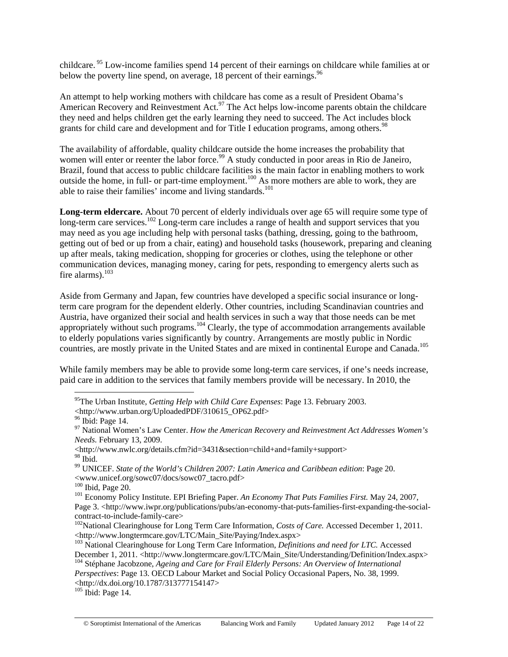childcare. 95 Low-income families spend 14 percent of their earnings on childcare while families at or below the poverty line spend, on average,  $18$  percent of their earnings.<sup>96</sup>

An attempt to help working mothers with childcare has come as a result of President Obama's American Recovery and Reinvestment Act.<sup>97</sup> The Act helps low-income parents obtain the childcare they need and helps children get the early learning they need to succeed. The Act includes block grants for child care and development and for Title I education programs, among others.<sup>98</sup>

The availability of affordable, quality childcare outside the home increases the probability that women will enter or reenter the labor force.<sup>99</sup> A study conducted in poor areas in Rio de Janeiro, Brazil, found that access to public childcare facilities is the main factor in enabling mothers to work outside the home, in full- or part-time employment.<sup>100</sup> As more mothers are able to work, they are able to raise their families' income and living standards.<sup>101</sup>

**Long-term eldercare.** About 70 percent of elderly individuals over age 65 will require some type of long-term care services.<sup>102</sup> Long-term care includes a range of health and support services that you may need as you age including help with personal tasks (bathing, dressing, going to the bathroom, getting out of bed or up from a chair, eating) and household tasks (housework, preparing and cleaning up after meals, taking medication, shopping for groceries or clothes, using the telephone or other communication devices, managing money, caring for pets, responding to emergency alerts such as fire alarms). $^{103}$ 

Aside from Germany and Japan, few countries have developed a specific social insurance or longterm care program for the dependent elderly. Other countries, including Scandinavian countries and Austria, have organized their social and health services in such a way that those needs can be met Austria, have organized their social and health section and the section of the sum of appropriately without such programs.<sup>104</sup> Clearly, the type of accommodation arrangements available to elderly populations varies significantly by country. Arrangements are mostly public in Nordic countries, are mostly private in the United States and are mixed in continental Europe and Canada.<sup>105</sup>

While family members may be able to provide some long-term care services, if one's needs increase, paid care in addition to the services that family members provide will be necessary. In 2010, the

<sup>95</sup>The Urban Institute, *Getting Help with Child Care Expenses*: Page 13. February 2003.

<sup>&</sup>lt;http://www.urban.org/UploadedPDF/310615\_OP62.pdf>

 $96$  Ibid: Page 14.

<sup>97</sup> National Women's Law Center. *How the American Recovery and Reinvestment Act Addresses Women's Needs.* February 13, 2009.

<sup>&</sup>lt;http://www.nwlc.org/details.cfm?id=3431&section=child+and+family+support>  $98$  Ibid.

<sup>99</sup> UNICEF. *State of the World's Children 2007: Latin America and Caribbean edition*: Page 20. <www.unicef.org/sowc07/docs/sowc07\_tacro.pdf>

<sup>&</sup>lt;sup>101</sup> Economy Policy Institute. EPI Briefing Paper. An Economy That Puts Families First. May 24, 2007, Page 3. <http://www.iwpr.org/publications/pubs/an-economy-that-puts-families-first-expanding-the-socialcontract-to-include-family-care>

<sup>&</sup>lt;sup>102</sup>National Clearinghouse for Long Term Care Information, *Costs of Care*. Accessed December 1, 2011.<br>
<http://www.longtermcare.gov/LTC/Main\_Site/Paying/Index.aspx>

<sup>&</sup>lt;sup>103</sup> National Clearinghouse for Long Term Care Information, *Definitions and need for LTC*. Accessed<br>December 1, 2011. <http://www.longtermcare.gov/LTC/Main\_Site/Understanding/Definition/Index.aspx>

<sup>&</sup>lt;sup>104</sup> Stéphane Jacobzone, *Ageing and Care for Frail Elderly Persons: An Overview of International Perspectives*: Page 13. OECD Labour Market and Social Policy Occasional Papers, No. 38, 1999.

<sup>&</sup>lt;http://dx.doi.org/10.1787/313777154147>

<sup>&</sup>lt;sup>105</sup> Ibid: Page 14.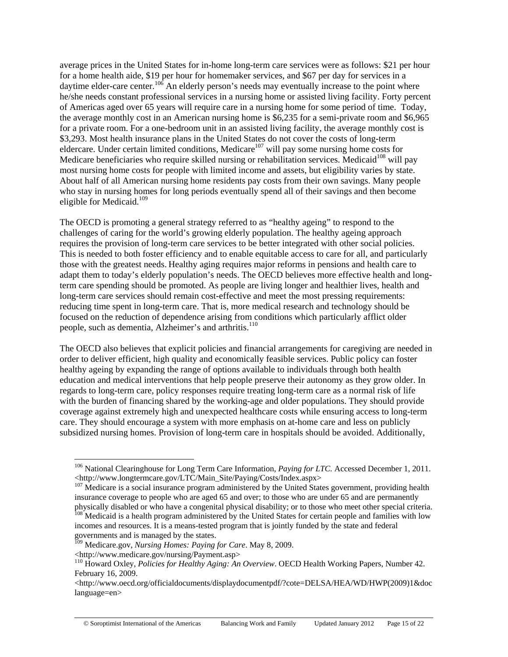average prices in the United States for in-home long-term care services were as follows: \$21 per hour for a home health aide, \$19 per hour for homemaker services, and \$67 per day for services in a daytime elder-care center.<sup>106</sup> An elderly person's needs may eventually increase to the point where he/she needs constant professional services in a nursing home or assisted living facility. Forty percent of Americas aged over 65 years will require care in a nursing home for some period of time. Today, the average monthly cost in an American nursing home is \$6,235 for a semi-private room and \$6,965 for a private room. For a one-bedroom unit in an assisted living facility, the average monthly cost is \$3,293. Most health insurance plans in the United States do not cover the costs of long-term eldercare. Under certain limited conditions, Medicare<sup>107</sup> will pay some nursing home costs for Medicare beneficiaries who require skilled nursing or rehabilitation services. Medicaid<sup>108</sup> will pay most nursing home costs for people with limited income and assets, but eligibility varies by state. About half of all American nursing home residents pay costs from their own savings. Many people who stay in nursing homes for long periods eventually spend all of their savings and then become eligible for Medicaid.<sup>109</sup>

The OECD is promoting a general strategy referred to as "healthy ageing" to respond to the challenges of caring for the world's growing elderly population. The healthy ageing approach requires the provision of long-term care services to be better integrated with other social policies. This is needed to both foster efficiency and to enable equitable access to care for all, and particularly those with the greatest needs. Healthy aging requires major reforms in pensions and health care to adapt them to today's elderly population's needs. The OECD believes more effective health and longterm care spending should be promoted. As people are living longer and healthier lives, health and long-term care services should remain cost-effective and meet the most pressing requirements: reducing time spent in long-term care. That is, more medical research and technology should be focused on the reduction of dependence arising from conditions which particularly afflict older people, such as dementia, Alzheimer's and arthritis.<sup>110</sup>

The OECD also believes that explicit policies and financial arrangements for caregiving are needed in order to deliver efficient, high quality and economically feasible services. Public policy can foster healthy ageing by expanding the range of options available to individuals through both health education and medical interventions that help people preserve their autonomy as they grow older. In regards to long-term care, policy responses require treating long-term care as a normal risk of life with the burden of financing shared by the working-age and older populations. They should provide coverage against extremely high and unexpected healthcare costs while ensuring access to long-term care. They should encourage a system with more emphasis on at-home care and less on publicly subsidized nursing homes. Provision of long-term care in hospitals should be avoided. Additionally,

<sup>&</sup>lt;sup>106</sup> National Clearinghouse for Long Term Care Information, *Paying for LTC*. Accessed December 1, 2011. <http://www.longtermcare.gov/LTC/Main\_Site/Paying/Costs/Index.aspx> 107 Medicare is a social insurance program administered by the United States government, providing health

insurance coverage to people who are aged 65 and over; to those who are under 65 and are permanently physically disabled or who have a congenital physical disability; or to those who meet other special criteria. <sup>108</sup> Medicaid is a health program administered by the United States for certain people and families with low incomes and resources. It is a means-tested program that is jointly funded by the state and federal governments and is managed by the states.

<sup>109</sup> Medicare.gov, *Nursing Homes: Paying for Care*. May 8, 2009.

<sup>&</sup>lt;http://www.medicare.gov/nursing/Payment.asp> 110 Howard Oxley, *Policies for Healthy Aging: An Overview*. OECD Health Working Papers, Number 42. February 16, 2009.

<sup>&</sup>lt;http://www.oecd.org/officialdocuments/displaydocumentpdf/?cote=DELSA/HEA/WD/HWP(2009)1&doc language=en>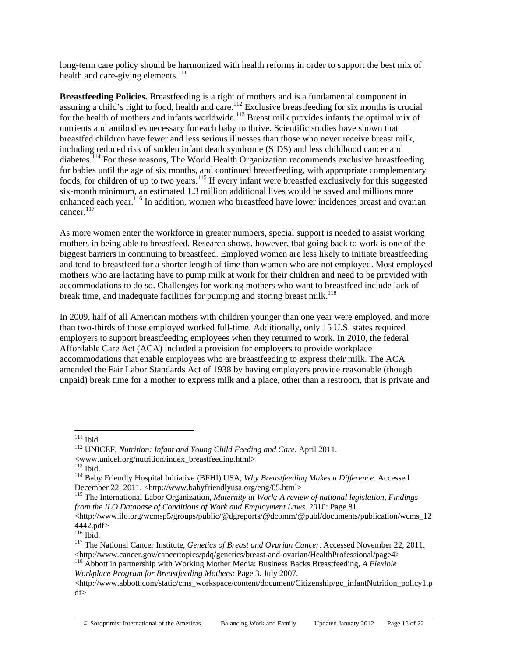long-term care policy should be harmonized with health reforms in order to support the best mix of health and care-giving elements. $111$ 

**Breastfeeding Policies.** Breastfeeding is a right of mothers and is a fundamental component in assuring a child's right to food, health and care.<sup>112</sup> Exclusive breastfeeding for six months is crucial for the health of mothers and infants worldwide.<sup>113</sup> Breast milk provides infants the optimal mix of nutrients and antibodies necessary for each baby to thrive. Scientific studies have shown that breastfed children have fewer and less serious illnesses than those who never receive breast milk, including reduced risk of sudden infant death syndrome (SIDS) and less childhood cancer and diabetes.114 For these reasons, The World Health Organization recommends exclusive breastfeeding for babies until the age of six months, and continued breastfeeding, with appropriate complementary foods, for children of up to two years.115 If every infant were breastfed exclusively for this suggested six-month minimum, an estimated 1.3 million additional lives would be saved and millions more enhanced each year.<sup>116</sup> In addition, women who breastfeed have lower incidences breast and ovarian cancer.<sup>117</sup>

As more women enter the workforce in greater numbers, special support is needed to assist working mothers in being able to breastfeed. Research shows, however, that going back to work is one of the biggest barriers in continuing to breastfeed. Employed women are less likely to initiate breastfeeding and tend to breastfeed for a shorter length of time than women who are not employed. Most employed mothers who are lactating have to pump milk at work for their children and need to be provided with accommodations to do so. Challenges for working mothers who want to breastfeed include lack of break time, and inadequate facilities for pumping and storing breast milk.<sup>118</sup>

In 2009, half of all American mothers with children younger than one year were employed, and more than two-thirds of those employed worked full-time. Additionally, only 15 U.S. states required employers to support breastfeeding employees when they returned to work. In 2010, the federal Affordable Care Act (ACA) included a provision for employers to provide workplace accommodations that enable employees who are breastfeeding to express their milk. The ACA amended the Fair Labor Standards Act of 1938 by having employers provide reasonable (though unpaid) break time for a mother to express milk and a place, other than a restroom, that is private and

*Workplace Program for Breastfeeding Mothers:* Page 3. July 2007.

 $^{\rm 111}$  Ibid.

<sup>&</sup>lt;sup>112</sup> UNICEF, *Nutrition: Infant and Young Child Feeding and Care.* April 2011.

<sup>%%&</sup>lt;www.unicef.org/nutrition/index\_breastfeeding.html><br>
<sup>113</sup> Ibid.<br>
<sup>114</sup> Baby Friendly Hospital Initiative (BFHI) USA, *Why Breastfeeding Makes a Difference*. Accessed<br>
December 22, 2011. <http://www.babyfriendlyusa.org/e

<sup>&</sup>lt;sup>115</sup> The International Labor Organization, *Maternity at Work: A review of national legislation, Findings from the ILO Database of Conditions of Work and Employment Laws*. 2010: Page 81.

<sup>&</sup>lt;http://www.ilo.org/wcmsp5/groups/public/@dgreports/@dcomm/@publ/documents/publication/wcms\_12  $4442.pdf$ <br> $116$  Ibid.

<sup>&</sup>lt;sup>117</sup> The National Cancer Institute, *Genetics of Breast and Ovarian Cancer*. Accessed November 22, 2011. <http://www.cancer.gov/cancertopics/pdq/genetics/breast-and-ovarian/HealthProfessional/page4> 118 Abbott in partnership with Working Mother Media: Business Backs Breastfeeding, *A Flexible* 

<sup>&</sup>lt;http://www.abbott.com/static/cms\_workspace/content/document/Citizenship/gc\_infantNutrition\_policy1.p df>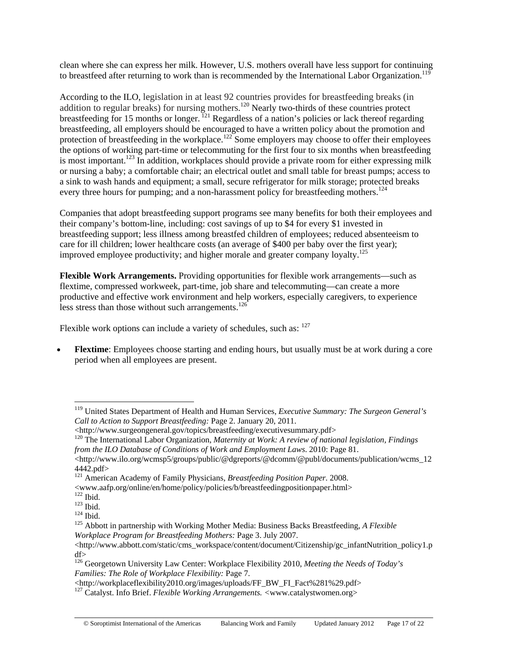clean where she can express her milk. However, U.S. mothers overall have less support for continuing to breastfeed after returning to work than is recommended by the International Labor Organization.<sup>119</sup>

According to the ILO, legislation in at least 92 countries provides for breastfeeding breaks (in addition to regular breaks) for nursing mothers.<sup>120</sup> Nearly two-thirds of these countries protect breastfeeding for 15 months or longer.  $^{121}$  Regardless of a nation's policies or lack thereof regarding breastfeeding, all employers should be encouraged to have a written policy about the promotion and protection of breastfeeding in the workplace.<sup>122</sup> Some employers may choose to offer their employees the options of working part-time or telecommuting for the first four to six months when breastfeeding is most important.<sup>123</sup> In addition, workplaces should provide a private room for either expressing milk or nursing a baby; a comfortable chair; an electrical outlet and small table for breast pumps; access to a sink to wash hands and equipment; a small, secure refrigerator for milk storage; protected breaks every three hours for pumping; and a non-harassment policy for breastfeeding mothers.<sup>124</sup>

Companies that adopt breastfeeding support programs see many benefits for both their employees and their company's bottom-line, including: cost savings of up to \$4 for every \$1 invested in breastfeeding support; less illness among breastfed children of employees; reduced absenteeism to care for ill children; lower healthcare costs (an average of \$400 per baby over the first year); improved employee productivity; and higher morale and greater company loyalty.125

**Flexible Work Arrangements.** Providing opportunities for flexible work arrangements—such as flextime, compressed workweek, part-time, job share and telecommuting—can create a more productive and effective work environment and help workers, especially caregivers, to experience less stress than those without such arrangements.<sup>126</sup>

Flexible work options can include a variety of schedules, such as:  $127$ 

**Flextime**: Employees choose starting and ending hours, but usually must be at work during a core period when all employees are present.

<sup>119</sup> United States Department of Health and Human Services, *Executive Summary: The Surgeon General's Call to Action to Support Breastfeeding:* Page 2. January 20, 2011.

<sup>&</sup>lt;http://www.surgeongeneral.gov/topics/breastfeeding/executivesummary.pdf> 120 The International Labor Organization, *Maternity at Work: A review of national legislation, Findings from the ILO Database of Conditions of Work and Employment Laws*. 2010: Page 81.

<sup>&</sup>lt;http://www.ilo.org/wcmsp5/groups/public/@dgreports/@dcomm/@publ/documents/publication/wcms\_12 4442.pdf>

<sup>121</sup> American Academy of Family Physicians, *Breastfeeding Position Paper*. 2008.

 $<$ www.aafp.org/online/en/home/policy/policies/b/breastfeeding<br>positionpaper.html> $^{122}$ Ibid.

<sup>123</sup> Ibid.<br><sup>124</sup> Ibid.<br><sup>125</sup> Abbott in partnership with Working Mother Media: Business Backs Breastfeeding, *A Flexible Workplace Program for Breastfeeding Mothers:* Page 3. July 2007.

<sup>&</sup>lt;http://www.abbott.com/static/cms\_workspace/content/document/Citizenship/gc\_infantNutrition\_policy1.p df>

<sup>126</sup> Georgetown University Law Center: Workplace Flexibility 2010, *Meeting the Needs of Today's Families: The Role of Workplace Flexibility:* Page 7.

<sup>&</sup>lt;http://workplaceflexibility2010.org/images/uploads/FF\_BW\_FI\_Fact%281%29.pdf> 127 Catalyst. Info Brief. *Flexible Working Arrangements. <*www.catalystwomen.org>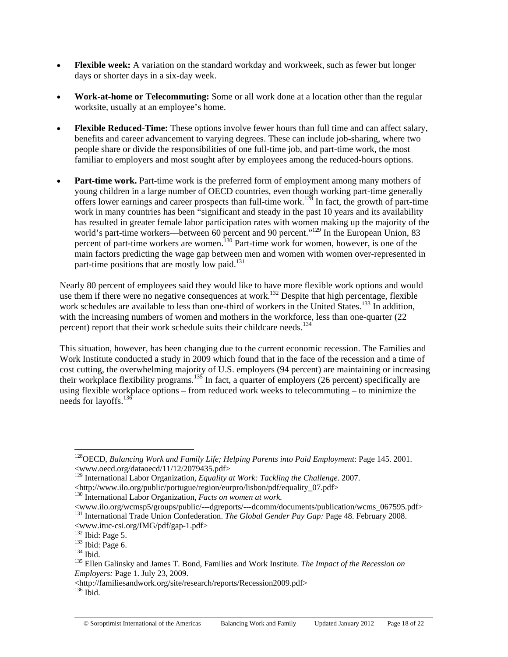- **Flexible week:** A variation on the standard workday and workweek, such as fewer but longer days or shorter days in a six-day week.
- **Work-at-home or Telecommuting:** Some or all work done at a location other than the regular worksite, usually at an employee's home.
- **Flexible Reduced-Time:** These options involve fewer hours than full time and can affect salary, benefits and career advancement to varying degrees. These can include job-sharing, where two people share or divide the responsibilities of one full-time job, and part-time work, the most familiar to employers and most sought after by employees among the reduced-hours options.
- **Part-time work.** Part-time work is the preferred form of employment among many mothers of young children in a large number of OECD countries, even though working part-time generally offers lower earnings and career prospects than full-time work.<sup>128</sup> In fact, the growth of part-time work in many countries has been "significant and steady in the past 10 years and its availability has resulted in greater female labor participation rates with women making up the majority of the world's part-time workers—between 60 percent and 90 percent."<sup>129</sup> In the European Union, 83 percent of part-time workers are women.<sup>130</sup> Part-time work for women, however, is one of the main factors predicting the wage gap between men and women with women over-represented in part-time positions that are mostly low paid.<sup>131</sup>

Nearly 80 percent of employees said they would like to have more flexible work options and would use them if there were no negative consequences at work.<sup>132</sup> Despite that high percentage, flexible work schedules are available to less than one-third of workers in the United States.<sup>133</sup> In addition, with the increasing numbers of women and mothers in the workforce, less than one-quarter (22) percent) report that their work schedule suits their childcare needs.<sup>134</sup>

This situation, however, has been changing due to the current economic recession. The Families and Work Institute conducted a study in 2009 which found that in the face of the recession and a time of cost cutting, the overwhelming majority of U.S. employers (94 percent) are maintaining or increasing their workplace flexibility programs.<sup>135</sup> In fact, a quarter of employers (26 percent) specifically are using flexible workplace options – from reduced work weeks to telecommuting – to minimize the needs for layoffs.<sup>136</sup>

<sup>128</sup>OECD, *Balancing Work and Family Life; Helping Parents into Paid Employment*: Page 145. 2001. <www.oecd.org/dataoecd/11/12/2079435.pdf>

<sup>129</sup> International Labor Organization, *Equality at Work: Tackling the Challenge*. 2007.

<sup>&</sup>lt;http://www.ilo.org/public/portugue/region/eurpro/lisbon/pdf/equality\_07.pdf> 130 International Labor Organization, *Facts on women at work.*

<sup>&</sup>lt;www.ilo.org/wcmsp5/groups/public/---dgreports/---dcomm/documents/publication/wcms\_067595.pdf> 131 International Trade Union Confederation. *The Global Gender Pay Gap:* Page 48*.* February 2008.  $\leq$ www.ituc-csi.org/IMG/pdf/gap-1.pdf> $^{132}$ Ibid: Page 5.

<sup>&</sup>lt;sup>133</sup> Ibid: Page 6.<br><sup>134</sup> Ibid.<br><sup>135</sup> Ellen Galinsky and James T. Bond, Families and Work Institute. *The Impact of the Recession on Employers:* Page 1. July 23, 2009.

<sup>&</sup>lt;http://familiesandwork.org/site/research/reports/Recession2009.pdf> 136 Ibid.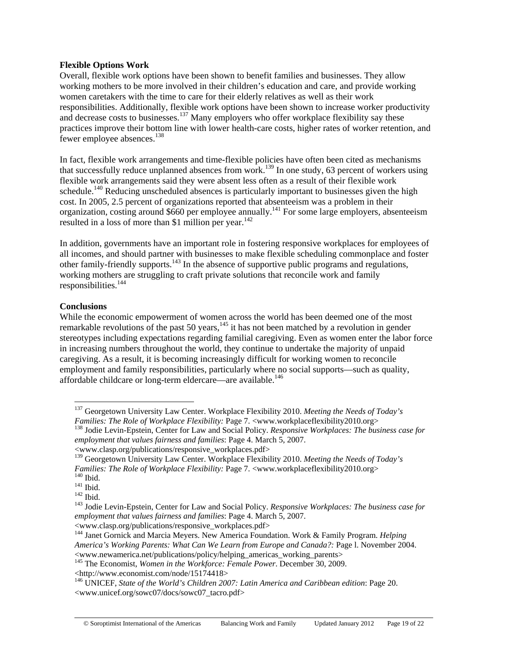#### **Flexible Options Work**

Overall, flexible work options have been shown to benefit families and businesses. They allow working mothers to be more involved in their children's education and care, and provide working women caretakers with the time to care for their elderly relatives as well as their work responsibilities. Additionally, flexible work options have been shown to increase worker productivity and decrease costs to businesses.<sup>137</sup> Many employers who offer workplace flexibility say these practices improve their bottom line with lower health-care costs, higher rates of worker retention, and fewer employee absences.<sup>138</sup>

In fact, flexible work arrangements and time-flexible policies have often been cited as mechanisms that successfully reduce unplanned absences from work.<sup>139</sup> In one study, 63 percent of workers using flexible work arrangements said they were absent less often as a result of their flexible work schedule.<sup>140</sup> Reducing unscheduled absences is particularly important to businesses given the high cost. In 2005, 2.5 percent of organizations reported that absenteeism was a problem in their organization, costing around \$660 per employee annually.<sup>141</sup> For some large employers, absenteeism resulted in a loss of more than \$1 million per year. $142$ 

In addition, governments have an important role in fostering responsive workplaces for employees of all incomes, and should partner with businesses to make flexible scheduling commonplace and foster other family-friendly supports.<sup>143</sup> In the absence of supportive public programs and regulations, working mothers are struggling to craft private solutions that reconcile work and family responsibilities.<sup>144</sup>

## **Conclusions**

 $\overline{a}$ 

While the economic empowerment of women across the world has been deemed one of the most remarkable revolutions of the past 50 years,<sup>145</sup> it has not been matched by a revolution in gender stereotypes including expectations regarding familial caregiving. Even as women enter the labor force in increasing numbers throughout the world, they continue to undertake the majority of unpaid caregiving. As a result, it is becoming increasingly difficult for working women to reconcile employment and family responsibilities, particularly where no social supports—such as quality, affordable childcare or long-term eldercare—are available.<sup>146</sup>

<sup>137</sup> Georgetown University Law Center. Workplace Flexibility 2010. *Meeting the Needs of Today's Families: The Role of Workplace Flexibility: Page 7.* <www.workplaceflexibility2010.org>
<sup>138</sup> Jodie Levin-Epstein, Center for Law and Social Policy. *Responsive Workplaces: The business case for* 

*employment that values fairness and families*: Page 4. March 5, 2007.

<sup>&</sup>lt;www.clasp.org/publications/responsive\_workplaces.pdf>

<sup>139</sup> Georgetown University Law Center. Workplace Flexibility 2010. *Meeting the Needs of Today's*  Families: The Role of Workplace Flexibility: Page 7. <www.workplaceflexibility2010.org><br>
<sup>140</sup> Ibid.<br>
<sup>141</sup> Ibid.<br>
<sup>142</sup> Ibid.<br>
<sup>143</sup> Jodie Levin-Epstein, Center for Law and Social Policy. Responsive Workplaces: The busine

*employment that values fairness and families*: Page 4. March 5, 2007.

<sup>&</sup>lt;www.clasp.org/publications/responsive\_workplaces.pdf> 144 Janet Gornick and Marcia Meyers. New America Foundation. Work & Family Program. *Helping America's Working Parents: What Can We Learn from Europe and Canada?:* Page l. November 2004. <www.newamerica.net/publications/policy/helping\_americas\_working\_parents>

<sup>&</sup>lt;sup>145</sup> The Economist, *Women in the Workforce: Female Power*. December 30, 2009.

<sup>&</sup>lt;http://www.economist.com/node/15174418>

<sup>146</sup> UNICEF, *State of the World's Children 2007: Latin America and Caribbean edition*: Page 20. <www.unicef.org/sowc07/docs/sowc07\_tacro.pdf>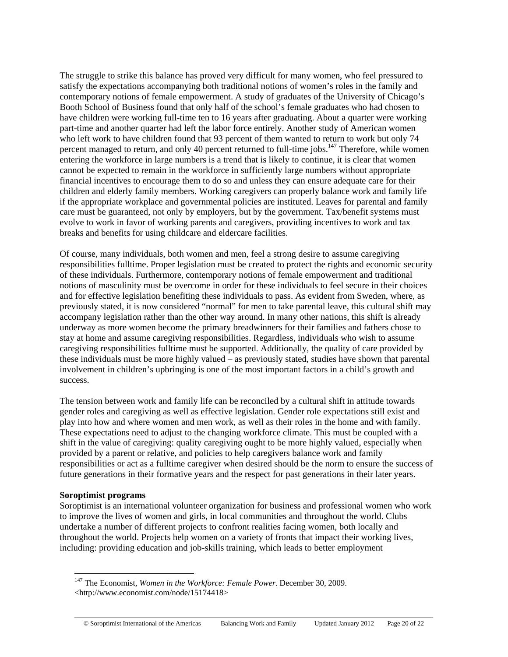The struggle to strike this balance has proved very difficult for many women, who feel pressured to satisfy the expectations accompanying both traditional notions of women's roles in the family and contemporary notions of female empowerment. A study of graduates of the University of Chicago's Booth School of Business found that only half of the school's female graduates who had chosen to have children were working full-time ten to 16 years after graduating. About a quarter were working part-time and another quarter had left the labor force entirely. Another study of American women who left work to have children found that 93 percent of them wanted to return to work but only 74 percent managed to return, and only 40 percent returned to full-time jobs.<sup>147</sup> Therefore, while women entering the workforce in large numbers is a trend that is likely to continue, it is clear that women cannot be expected to remain in the workforce in sufficiently large numbers without appropriate financial incentives to encourage them to do so and unless they can ensure adequate care for their children and elderly family members. Working caregivers can properly balance work and family life if the appropriate workplace and governmental policies are instituted. Leaves for parental and family care must be guaranteed, not only by employers, but by the government. Tax/benefit systems must evolve to work in favor of working parents and caregivers, providing incentives to work and tax breaks and benefits for using childcare and eldercare facilities.

Of course, many individuals, both women and men, feel a strong desire to assume caregiving responsibilities fulltime. Proper legislation must be created to protect the rights and economic security of these individuals. Furthermore, contemporary notions of female empowerment and traditional notions of masculinity must be overcome in order for these individuals to feel secure in their choices and for effective legislation benefiting these individuals to pass. As evident from Sweden, where, as previously stated, it is now considered "normal" for men to take parental leave, this cultural shift may accompany legislation rather than the other way around. In many other nations, this shift is already underway as more women become the primary breadwinners for their families and fathers chose to stay at home and assume caregiving responsibilities. Regardless, individuals who wish to assume caregiving responsibilities fulltime must be supported. Additionally, the quality of care provided by these individuals must be more highly valued – as previously stated, studies have shown that parental involvement in children's upbringing is one of the most important factors in a child's growth and success.

The tension between work and family life can be reconciled by a cultural shift in attitude towards gender roles and caregiving as well as effective legislation. Gender role expectations still exist and play into how and where women and men work, as well as their roles in the home and with family. These expectations need to adjust to the changing workforce climate. This must be coupled with a shift in the value of caregiving: quality caregiving ought to be more highly valued, especially when provided by a parent or relative, and policies to help caregivers balance work and family responsibilities or act as a fulltime caregiver when desired should be the norm to ensure the success of future generations in their formative years and the respect for past generations in their later years.

#### **Soroptimist programs**

 $\overline{a}$ 

Soroptimist is an international volunteer organization for business and professional women who work to improve the lives of women and girls, in local communities and throughout the world. Clubs undertake a number of different projects to confront realities facing women, both locally and throughout the world. Projects help women on a variety of fronts that impact their working lives, including: providing education and job-skills training, which leads to better employment

<sup>147</sup> The Economist, *Women in the Workforce: Female Power*. December 30, 2009. <http://www.economist.com/node/15174418>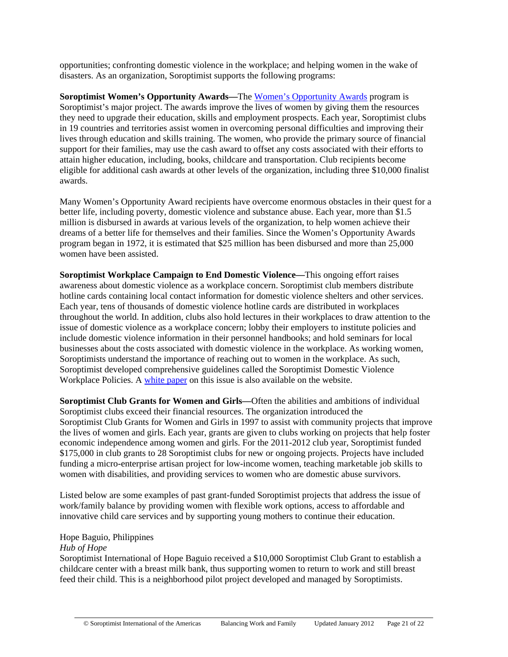opportunities; confronting domestic violence in the workplace; and helping women in the wake of disasters. As an organization, Soroptimist supports the following programs:

**Soroptimist Women's Opportunity Awards—**The Women's Opportunity Awards program is Soroptimist's major project. The awards improve the lives of women by giving them the resources they need to upgrade their education, skills and employment prospects. Each year, Soroptimist clubs in 19 countries and territories assist women in overcoming personal difficulties and improving their lives through education and skills training. The women, who provide the primary source of financial support for their families, may use the cash award to offset any costs associated with their efforts to attain higher education, including, books, childcare and transportation. Club recipients become eligible for additional cash awards at other levels of the organization, including three \$10,000 finalist awards.

Many Women's Opportunity Award recipients have overcome enormous obstacles in their quest for a better life, including poverty, domestic violence and substance abuse. Each year, more than \$1.5 million is disbursed in awards at various levels of the organization, to help women achieve their dreams of a better life for themselves and their families. Since the Women's Opportunity Awards program began in 1972, it is estimated that \$25 million has been disbursed and more than 25,000 women have been assisted.

**Soroptimist Workplace Campaign to End Domestic Violence—**This ongoing effort raises awareness about domestic violence as a workplace concern. Soroptimist club members distribute hotline cards containing local contact information for domestic violence shelters and other services. Each year, tens of thousands of domestic violence hotline cards are distributed in workplaces throughout the world. In addition, clubs also hold lectures in their workplaces to draw attention to the issue of domestic violence as a workplace concern; lobby their employers to institute policies and include domestic violence information in their personnel handbooks; and hold seminars for local businesses about the costs associated with domestic violence in the workplace. As working women, Soroptimists understand the importance of reaching out to women in the workplace. As such, Soroptimist developed comprehensive guidelines called the Soroptimist Domestic Violence Workplace Policies. A white paper on this issue is also available on the website.

**Soroptimist Club Grants for Women and Girls—**Often the abilities and ambitions of individual Soroptimist clubs exceed their financial resources. The organization introduced the Soroptimist Club Grants for Women and Girls in 1997 to assist with community projects that improve the lives of women and girls. Each year, grants are given to clubs working on projects that help foster economic independence among women and girls. For the 2011-2012 club year, Soroptimist funded \$175,000 in club grants to 28 Soroptimist clubs for new or ongoing projects. Projects have included funding a micro-enterprise artisan project for low-income women, teaching marketable job skills to women with disabilities, and providing services to women who are domestic abuse survivors.

Listed below are some examples of past grant-funded Soroptimist projects that address the issue of work/family balance by providing women with flexible work options, access to affordable and innovative child care services and by supporting young mothers to continue their education.

# Hope Baguio, Philippines

## *Hub of Hope*

Soroptimist International of Hope Baguio received a \$10,000 Soroptimist Club Grant to establish a childcare center with a breast milk bank, thus supporting women to return to work and still breast feed their child. This is a neighborhood pilot project developed and managed by Soroptimists.